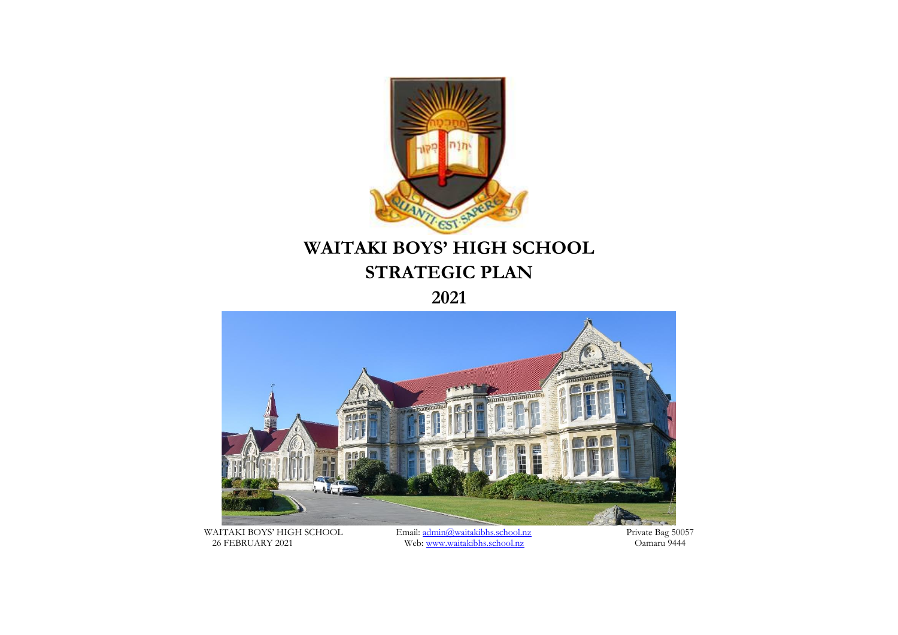

**2021**



WAITAKI BOYS' HIGH SCHOOL Email: [admin@waitakibhs.school.nz](mailto:admin@waitakibhs.school.nz) Private Bag 50057 26 FEBRUARY 2021 Web[: www.waitakibhs.school.nz](http://www.waitakibhs.school.nz/) Oamaru 9444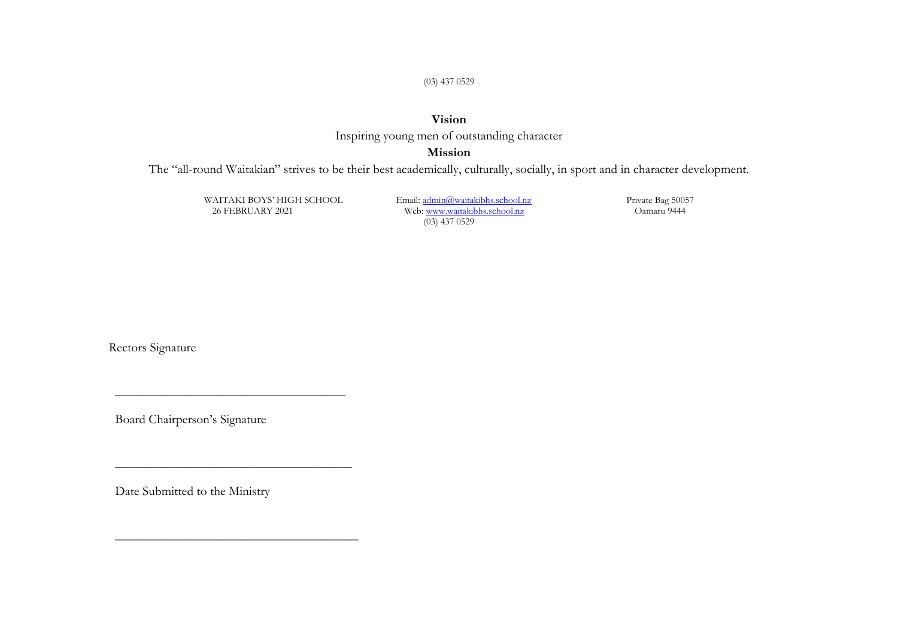(03) 437 0529

### **Vision** Inspiring young men of outstanding character

#### **Mission**

The "all-round Waitakian" strives to be their best academically, culturally, socially, in sport and in character development.

WAITAKI BOYS' HIGH SCHOOL Email: [admin@waitakibhs.school.nz](mailto:admin@waitakibhs.school.nz) Private Bag 50057 Web[: www.waitakibhs.school.nz](http://www.waitakibhs.school.nz/) (03) 437 0529

Rectors Signature

Board Chairperson's Signature

\_\_\_\_\_\_\_\_\_\_\_\_\_\_\_\_\_\_\_\_\_\_\_\_\_\_\_\_\_\_\_\_\_\_\_\_

 $\_$ 

\_\_\_\_\_\_\_\_\_\_\_\_\_\_\_\_\_\_\_\_\_\_\_\_\_\_\_\_\_\_\_\_\_\_\_\_\_\_

Date Submitted to the Ministry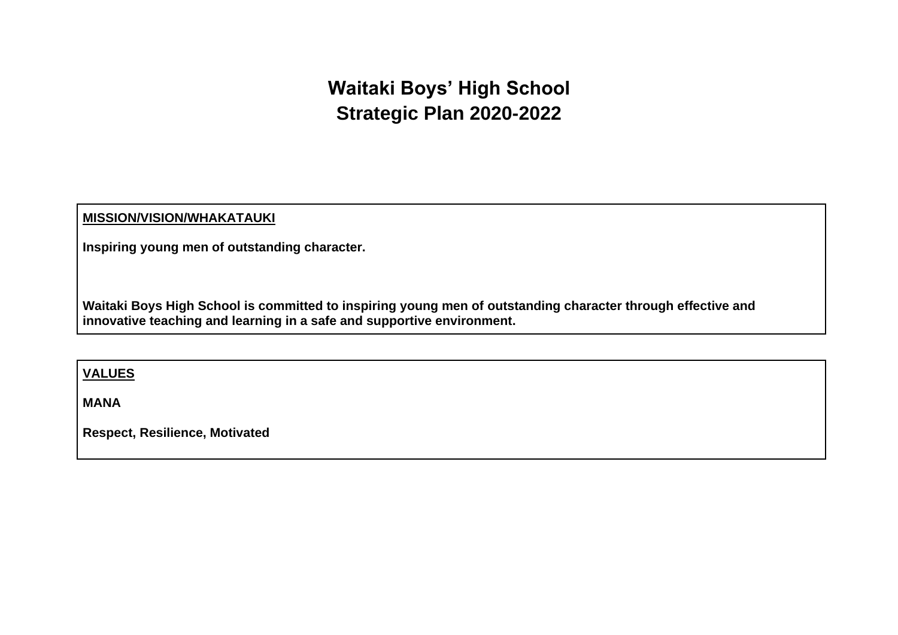## **Waitaki Boys' High School Strategic Plan 2020-2022**

#### **MISSION/VISION/WHAKATAUKI**

**Inspiring young men of outstanding character.** 

**Waitaki Boys High School is committed to inspiring young men of outstanding character through effective and innovative teaching and learning in a safe and supportive environment.**

**VALUES**

**MANA**

**Respect, Resilience, Motivated**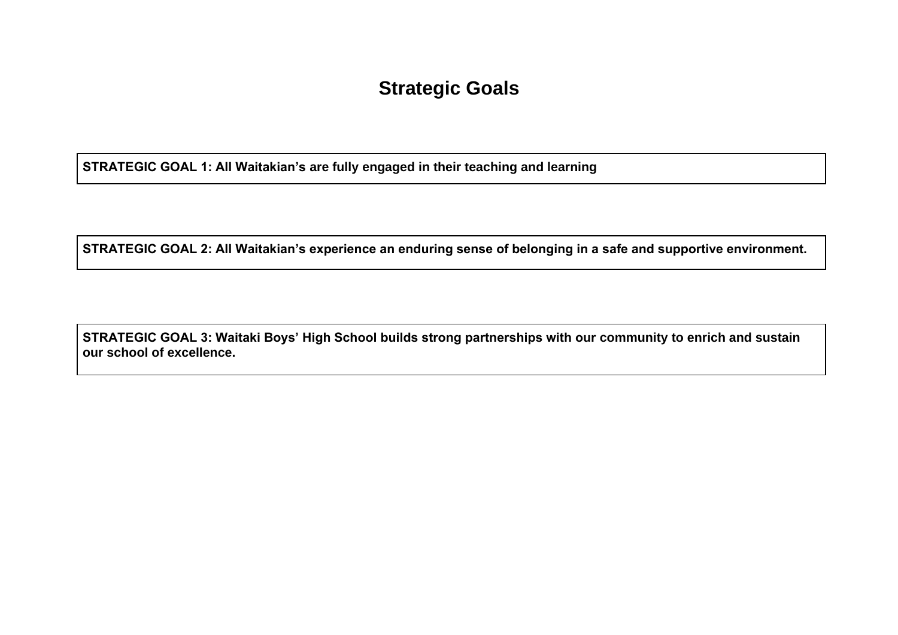### **Strategic Goals**

**STRATEGIC GOAL 1: All Waitakian's are fully engaged in their teaching and learning**

**STRATEGIC GOAL 2: All Waitakian's experience an enduring sense of belonging in a safe and supportive environment.**

**STRATEGIC GOAL 3: Waitaki Boys' High School builds strong partnerships with our community to enrich and sustain our school of excellence.**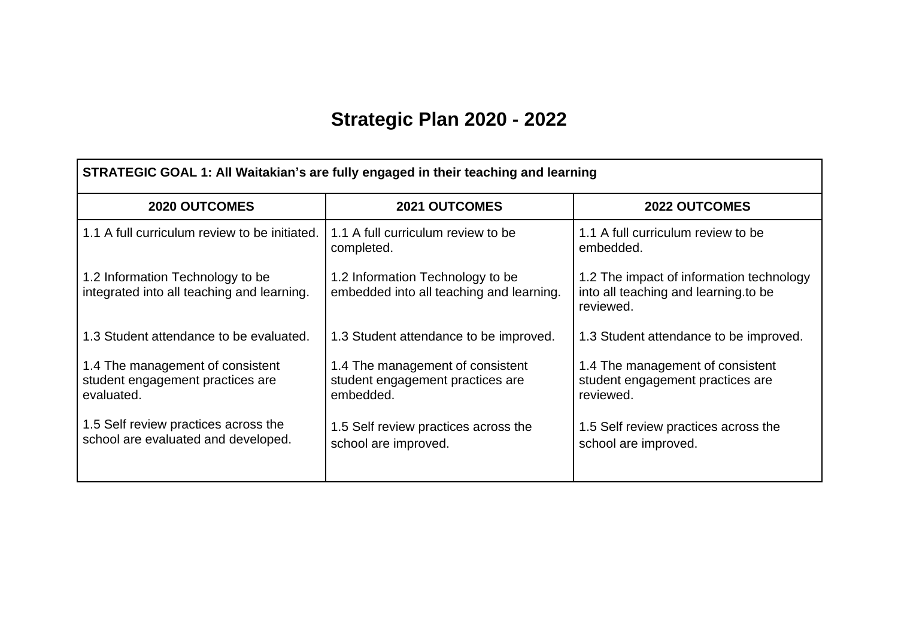# **Strategic Plan 2020 - 2022**

| STRATEGIC GOAL 1: All Waitakian's are fully engaged in their teaching and learning |                                                                                   |                                                                                               |  |  |  |  |
|------------------------------------------------------------------------------------|-----------------------------------------------------------------------------------|-----------------------------------------------------------------------------------------------|--|--|--|--|
| <b>2020 OUTCOMES</b>                                                               | <b>2021 OUTCOMES</b>                                                              | <b>2022 OUTCOMES</b>                                                                          |  |  |  |  |
| 1.1 A full curriculum review to be initiated.                                      | 1.1 A full curriculum review to be<br>completed.                                  | 1.1 A full curriculum review to be<br>embedded.                                               |  |  |  |  |
| 1.2 Information Technology to be<br>integrated into all teaching and learning.     | 1.2 Information Technology to be<br>embedded into all teaching and learning.      | 1.2 The impact of information technology<br>into all teaching and learning to be<br>reviewed. |  |  |  |  |
| 1.3 Student attendance to be evaluated.                                            | 1.3 Student attendance to be improved.                                            | 1.3 Student attendance to be improved.                                                        |  |  |  |  |
| 1.4 The management of consistent<br>student engagement practices are<br>evaluated. | 1.4 The management of consistent<br>student engagement practices are<br>embedded. | 1.4 The management of consistent<br>student engagement practices are<br>reviewed.             |  |  |  |  |
| 1.5 Self review practices across the<br>school are evaluated and developed.        | 1.5 Self review practices across the<br>school are improved.                      | 1.5 Self review practices across the<br>school are improved.                                  |  |  |  |  |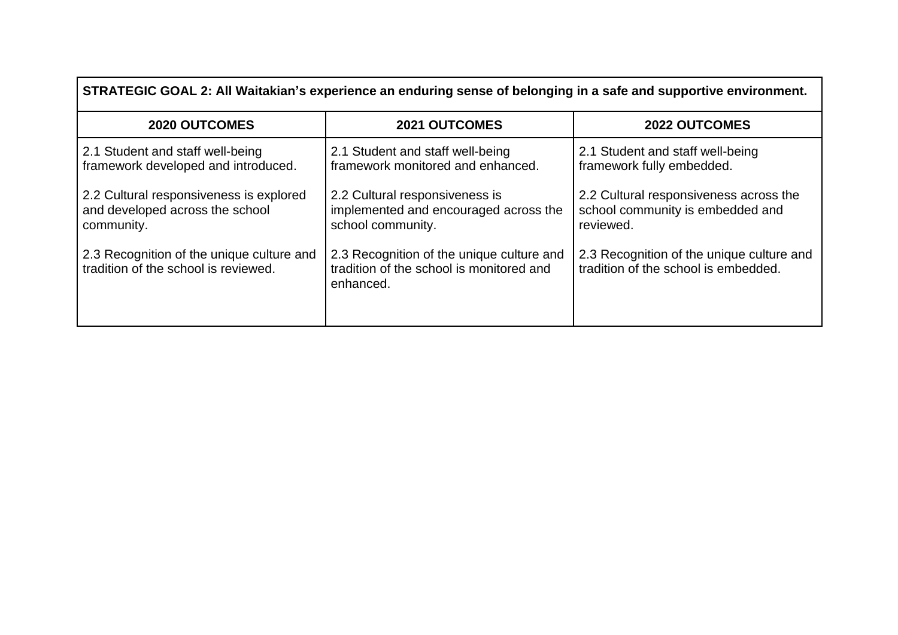| <b>2020 OUTCOMES</b>                                                              | <b>2021 OUTCOMES</b>                                                                               | <b>2022 OUTCOMES</b>                                                              |
|-----------------------------------------------------------------------------------|----------------------------------------------------------------------------------------------------|-----------------------------------------------------------------------------------|
| 2.1 Student and staff well-being                                                  | 2.1 Student and staff well-being                                                                   | 2.1 Student and staff well-being                                                  |
| framework developed and introduced.                                               | framework monitored and enhanced.                                                                  | framework fully embedded.                                                         |
| 2.2 Cultural responsiveness is explored                                           | 2.2 Cultural responsiveness is                                                                     | 2.2 Cultural responsiveness across the                                            |
| and developed across the school                                                   | implemented and encouraged across the                                                              | school community is embedded and                                                  |
| community.                                                                        | school community.                                                                                  | reviewed.                                                                         |
| 2.3 Recognition of the unique culture and<br>tradition of the school is reviewed. | 2.3 Recognition of the unique culture and<br>tradition of the school is monitored and<br>enhanced. | 2.3 Recognition of the unique culture and<br>tradition of the school is embedded. |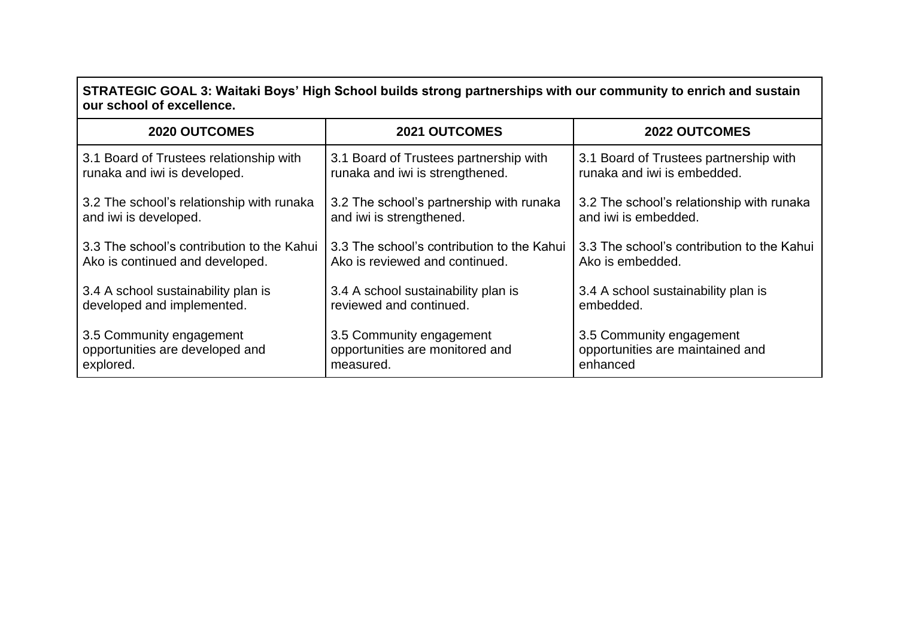### **STRATEGIC GOAL 3: Waitaki Boys' High School builds strong partnerships with our community to enrich and sustain our school of excellence.**

| 2020 OUTCOMES                              | <b>2021 OUTCOMES</b>                       | <b>2022 OUTCOMES</b>                       |
|--------------------------------------------|--------------------------------------------|--------------------------------------------|
| 3.1 Board of Trustees relationship with    | 3.1 Board of Trustees partnership with     | 3.1 Board of Trustees partnership with     |
| runaka and iwi is developed.               | runaka and iwi is strengthened.            | runaka and iwi is embedded.                |
| 3.2 The school's relationship with runaka  | 3.2 The school's partnership with runaka   | 3.2 The school's relationship with runaka  |
| and iwi is developed.                      | and iwi is strengthened.                   | and iwi is embedded.                       |
| 3.3 The school's contribution to the Kahui | 3.3 The school's contribution to the Kahui | 3.3 The school's contribution to the Kahui |
| Ako is continued and developed.            | Ako is reviewed and continued.             | Ako is embedded.                           |
| 3.4 A school sustainability plan is        | 3.4 A school sustainability plan is        | 3.4 A school sustainability plan is        |
| developed and implemented.                 | reviewed and continued.                    | embedded.                                  |
| 3.5 Community engagement                   | 3.5 Community engagement                   | 3.5 Community engagement                   |
| opportunities are developed and            | opportunities are monitored and            | opportunities are maintained and           |
| explored.                                  | measured.                                  | enhanced                                   |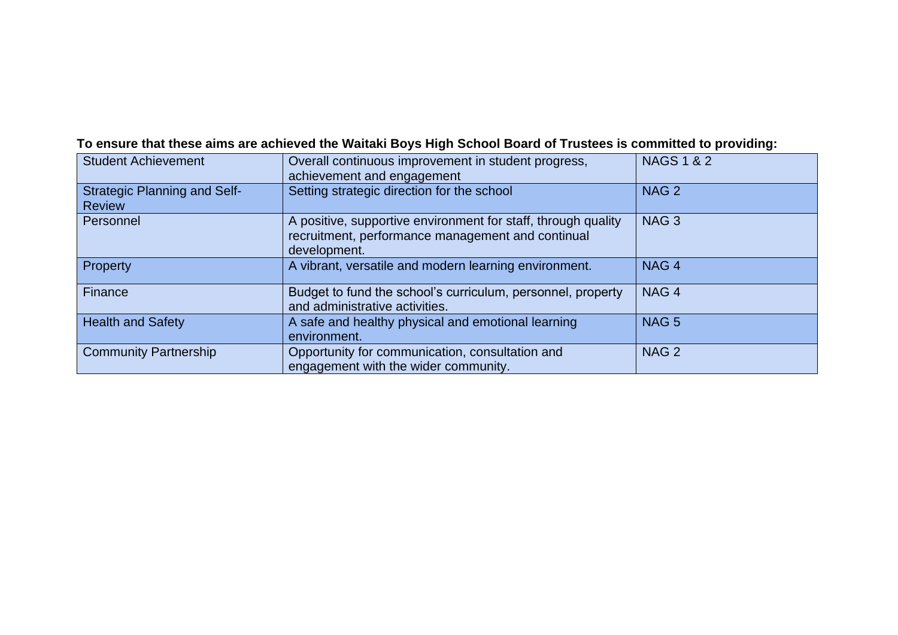### **To ensure that these aims are achieved the Waitaki Boys High School Board of Trustees is committed to providing:**

| <b>Student Achievement</b>                           | Overall continuous improvement in student progress,<br>achievement and engagement                                                  | <b>NAGS 1 &amp; 2</b> |
|------------------------------------------------------|------------------------------------------------------------------------------------------------------------------------------------|-----------------------|
| <b>Strategic Planning and Self-</b><br><b>Review</b> | Setting strategic direction for the school                                                                                         | NAG <sub>2</sub>      |
| Personnel                                            | A positive, supportive environment for staff, through quality<br>recruitment, performance management and continual<br>development. | NAG <sub>3</sub>      |
| <b>Property</b>                                      | A vibrant, versatile and modern learning environment.                                                                              | NAG <sub>4</sub>      |
| Finance                                              | Budget to fund the school's curriculum, personnel, property<br>and administrative activities.                                      | NAG <sub>4</sub>      |
| <b>Health and Safety</b>                             | A safe and healthy physical and emotional learning<br>environment.                                                                 | NAG <sub>5</sub>      |
| <b>Community Partnership</b>                         | Opportunity for communication, consultation and<br>engagement with the wider community.                                            | NAG <sub>2</sub>      |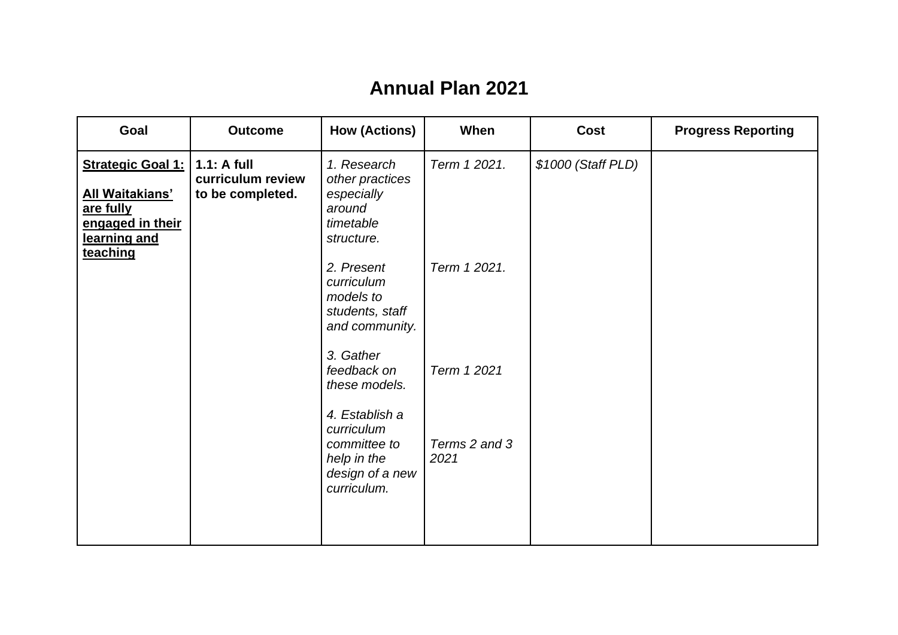# **Annual Plan 2021**

| Goal                                                                                                            | <b>Outcome</b>                                         | <b>How (Actions)</b>                                                                          | When                  | <b>Cost</b>        | <b>Progress Reporting</b> |
|-----------------------------------------------------------------------------------------------------------------|--------------------------------------------------------|-----------------------------------------------------------------------------------------------|-----------------------|--------------------|---------------------------|
| <b>Strategic Goal 1:</b><br><b>All Waitakians'</b><br>are fully<br>engaged in their<br>learning and<br>teaching | $1.1:$ A full<br>curriculum review<br>to be completed. | 1. Research<br>other practices<br>especially<br>around<br>timetable<br>structure.             | Term 1 2021.          | \$1000 (Staff PLD) |                           |
|                                                                                                                 |                                                        | 2. Present<br>curriculum<br>models to<br>students, staff<br>and community.                    | Term 1 2021.          |                    |                           |
|                                                                                                                 |                                                        | 3. Gather<br>feedback on<br>these models.                                                     | Term 1 2021           |                    |                           |
|                                                                                                                 |                                                        | 4. Establish a<br>curriculum<br>committee to<br>help in the<br>design of a new<br>curriculum. | Terms 2 and 3<br>2021 |                    |                           |
|                                                                                                                 |                                                        |                                                                                               |                       |                    |                           |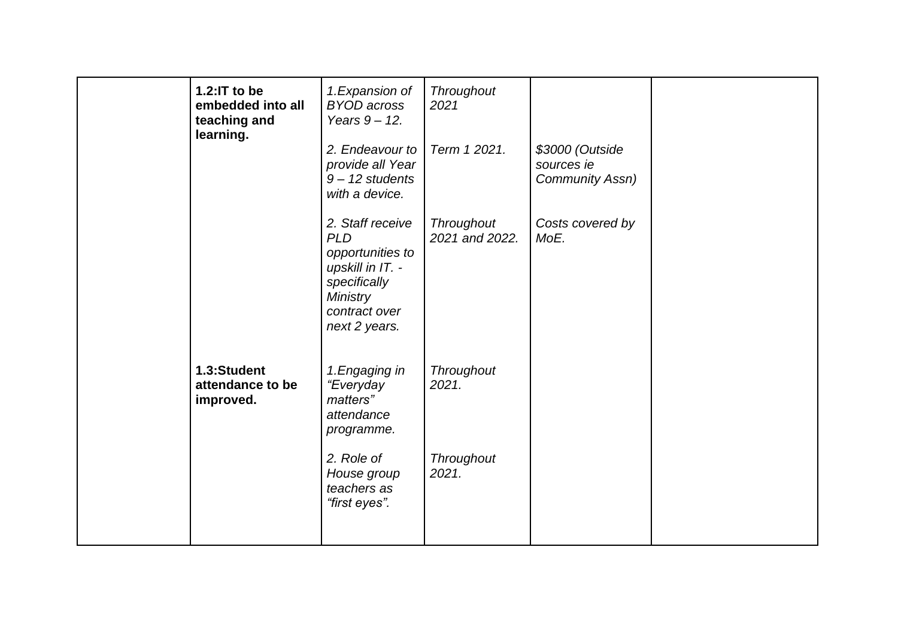| 1.2:IT to be<br>embedded into all<br>teaching and<br>learning. | 1. Expansion of<br><b>BYOD</b> across<br>Years $9 - 12$ .<br>2. Endeavour to<br>provide all Year<br>$9 - 12$ students<br>with a device.     | Throughout<br>2021<br>Term 1 2021. | \$3000 (Outside<br>sources ie<br>Community Assn) |  |
|----------------------------------------------------------------|---------------------------------------------------------------------------------------------------------------------------------------------|------------------------------------|--------------------------------------------------|--|
|                                                                | 2. Staff receive<br><b>PLD</b><br>opportunities to<br>upskill in IT. -<br>specifically<br><b>Ministry</b><br>contract over<br>next 2 years. | Throughout<br>2021 and 2022.       | Costs covered by<br>MoE.                         |  |
| 1.3:Student<br>attendance to be<br>improved.                   | 1. Engaging in<br>"Everyday<br>matters"<br>attendance<br>programme.                                                                         | Throughout<br>2021.                |                                                  |  |
|                                                                | 2. Role of<br>House group<br>teachers as<br>"first eyes".                                                                                   | Throughout<br>2021.                |                                                  |  |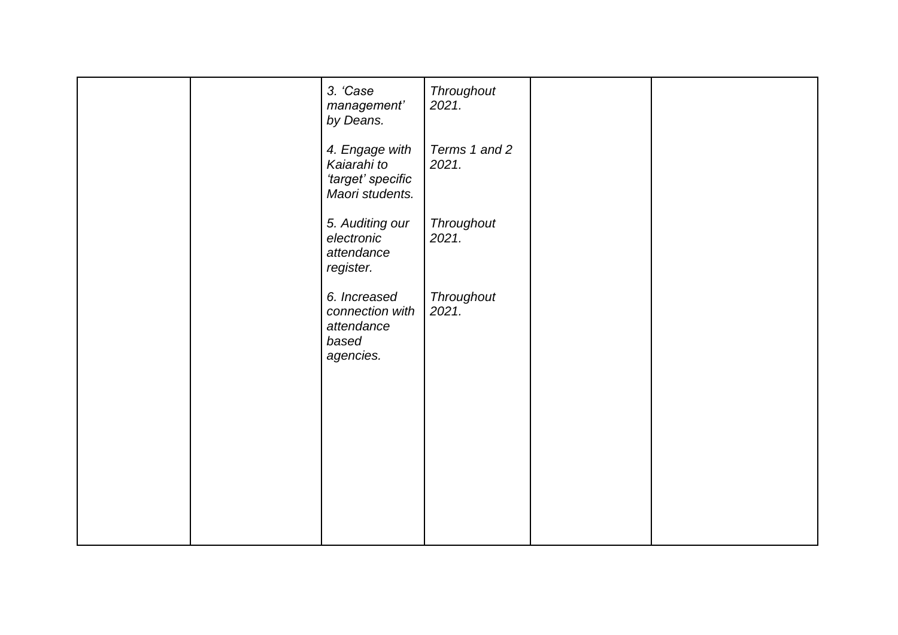|  | 3. 'Case<br>management'<br>by Deans.                                  | Throughout<br>2021.    |  |
|--|-----------------------------------------------------------------------|------------------------|--|
|  | 4. Engage with<br>Kaiarahi to<br>'target' specific<br>Maori students. | Terms 1 and 2<br>2021. |  |
|  | 5. Auditing our<br>electronic<br>attendance<br>register.              | Throughout<br>2021.    |  |
|  | 6. Increased<br>connection with<br>attendance<br>based<br>agencies.   | Throughout<br>2021.    |  |
|  |                                                                       |                        |  |
|  |                                                                       |                        |  |
|  |                                                                       |                        |  |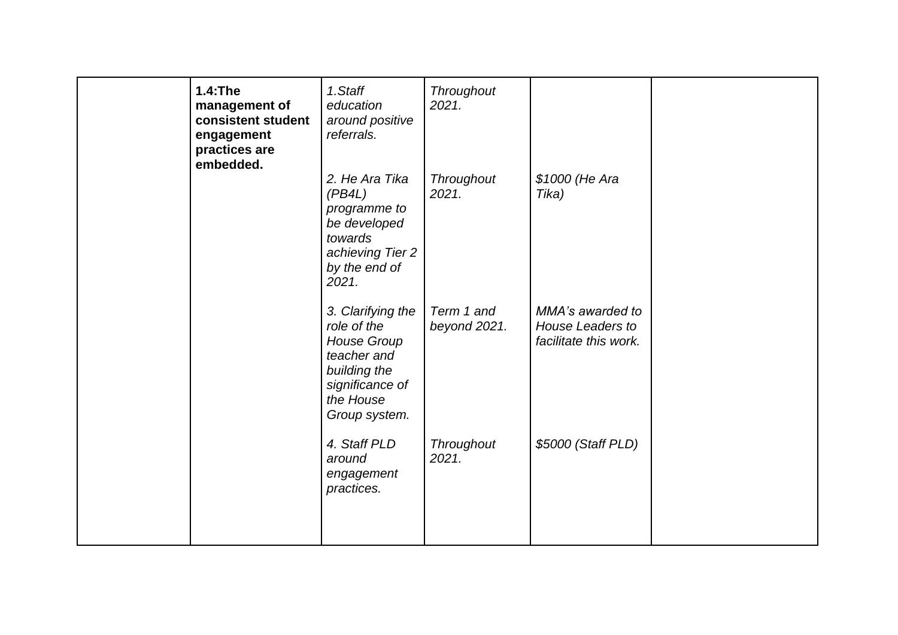| 1.4: The<br>management of<br>consistent student<br>engagement<br>practices are<br>embedded. | 1.Staff<br>education<br>around positive<br>referrals.<br>2. He Ara Tika<br>(PB4L)<br>programme to<br>be developed<br>towards<br>achieving Tier 2<br>by the end of<br>2021. | Throughout<br>2021.<br>Throughout<br>2021. | \$1000 (He Ara<br>Tika)                                              |  |
|---------------------------------------------------------------------------------------------|----------------------------------------------------------------------------------------------------------------------------------------------------------------------------|--------------------------------------------|----------------------------------------------------------------------|--|
|                                                                                             | 3. Clarifying the<br>role of the<br><b>House Group</b><br>teacher and<br>building the<br>significance of<br>the House<br>Group system.                                     | Term 1 and<br>beyond 2021.                 | MMA's awarded to<br><b>House Leaders to</b><br>facilitate this work. |  |
|                                                                                             | 4. Staff PLD<br>around<br>engagement<br>practices.                                                                                                                         | Throughout<br>2021.                        | \$5000 (Staff PLD)                                                   |  |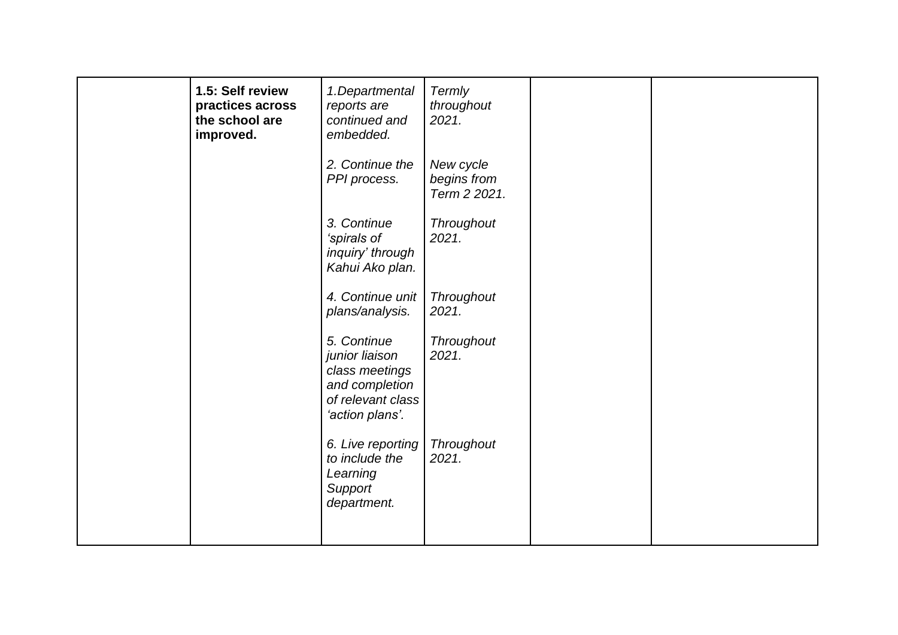| 1.5: Self review<br>practices across<br>the school are<br>improved. | 1.Departmental<br>reports are<br>continued and<br>embedded.                                               | Termly<br>throughout<br>2021.            |  |
|---------------------------------------------------------------------|-----------------------------------------------------------------------------------------------------------|------------------------------------------|--|
|                                                                     | 2. Continue the<br>PPI process.                                                                           | New cycle<br>begins from<br>Term 2 2021. |  |
|                                                                     | 3. Continue<br>'spirals of<br>inquiry' through<br>Kahui Ako plan.                                         | Throughout<br>2021.                      |  |
|                                                                     | 4. Continue unit<br>plans/analysis.                                                                       | <b>Throughout</b><br>2021.               |  |
|                                                                     | 5. Continue<br>junior liaison<br>class meetings<br>and completion<br>of relevant class<br>'action plans'. | Throughout<br>2021.                      |  |
|                                                                     | 6. Live reporting<br>to include the<br>Learning<br>Support<br>department.                                 | Throughout<br>2021.                      |  |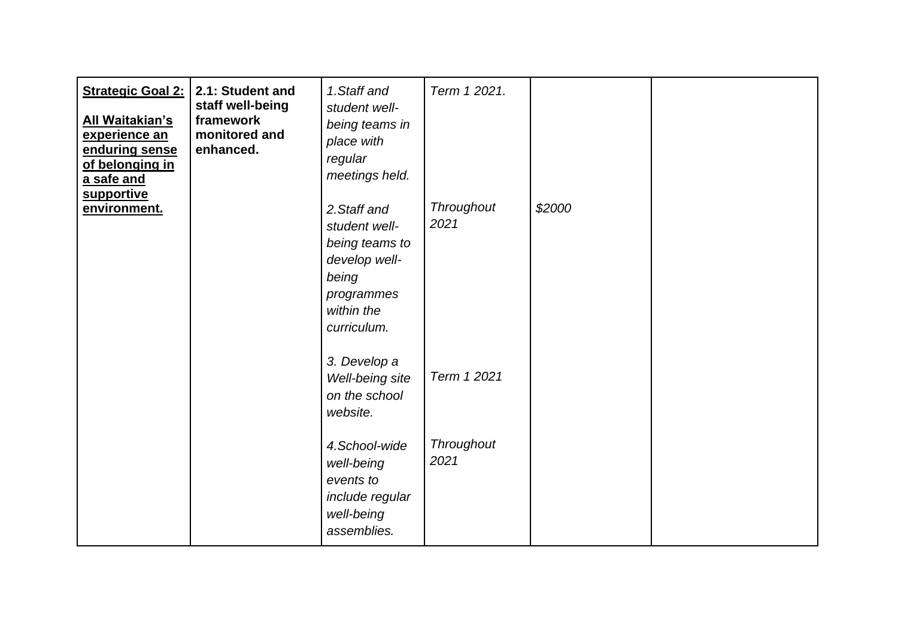| <b>Strategic Goal 2:</b><br><u>All Waitakian's</u><br>experience an<br>enduring sense<br>of belonging in<br>a safe and<br>supportive | 2.1: Student and<br>staff well-being<br>framework<br>monitored and<br>enhanced. | 1. Staff and<br>student well-<br>being teams in<br>place with<br>regular<br>meetings held.                           | Term 1 2021.              |        |  |
|--------------------------------------------------------------------------------------------------------------------------------------|---------------------------------------------------------------------------------|----------------------------------------------------------------------------------------------------------------------|---------------------------|--------|--|
| environment.                                                                                                                         |                                                                                 | 2. Staff and<br>student well-<br>being teams to<br>develop well-<br>being<br>programmes<br>within the<br>curriculum. | <b>Throughout</b><br>2021 | \$2000 |  |
|                                                                                                                                      |                                                                                 | 3. Develop a<br>Well-being site<br>on the school<br>website.                                                         | Term 1 2021               |        |  |
|                                                                                                                                      |                                                                                 | 4.School-wide<br>well-being<br>events to<br>include regular<br>well-being<br>assemblies.                             | Throughout<br>2021        |        |  |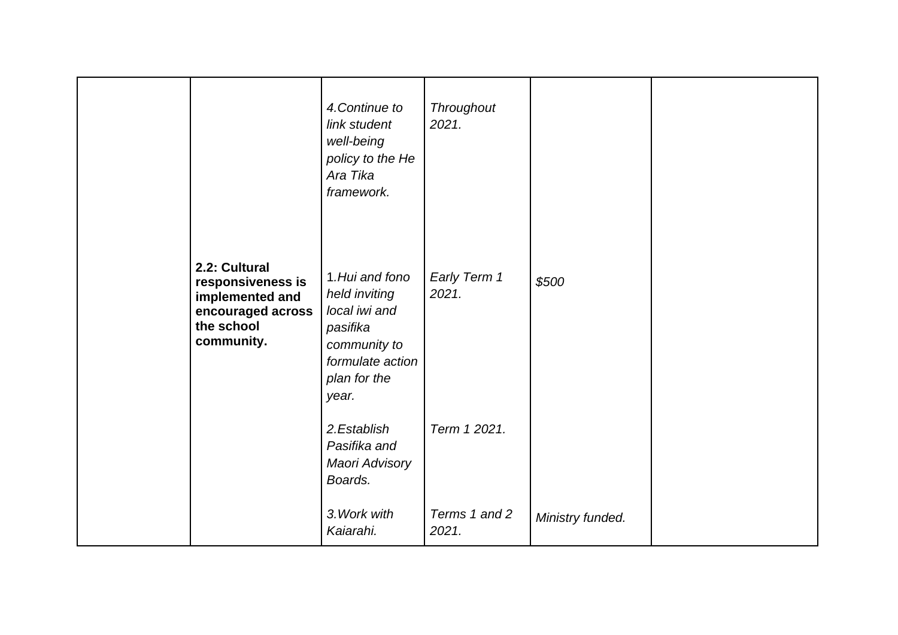|                                                                                                        | 4. Continue to<br>link student<br>well-being<br>policy to the He<br>Ara Tika<br>framework.                                 | Throughout<br>2021.    |                  |  |
|--------------------------------------------------------------------------------------------------------|----------------------------------------------------------------------------------------------------------------------------|------------------------|------------------|--|
| 2.2: Cultural<br>responsiveness is<br>implemented and<br>encouraged across<br>the school<br>community. | 1. Hui and fono<br>held inviting<br>local iwi and<br>pasifika<br>community to<br>formulate action<br>plan for the<br>year. | Early Term 1<br>2021.  | \$500            |  |
|                                                                                                        | 2.Establish<br>Pasifika and<br>Maori Advisory<br>Boards.                                                                   | Term 1 2021.           |                  |  |
|                                                                                                        | 3. Work with<br>Kaiarahi.                                                                                                  | Terms 1 and 2<br>2021. | Ministry funded. |  |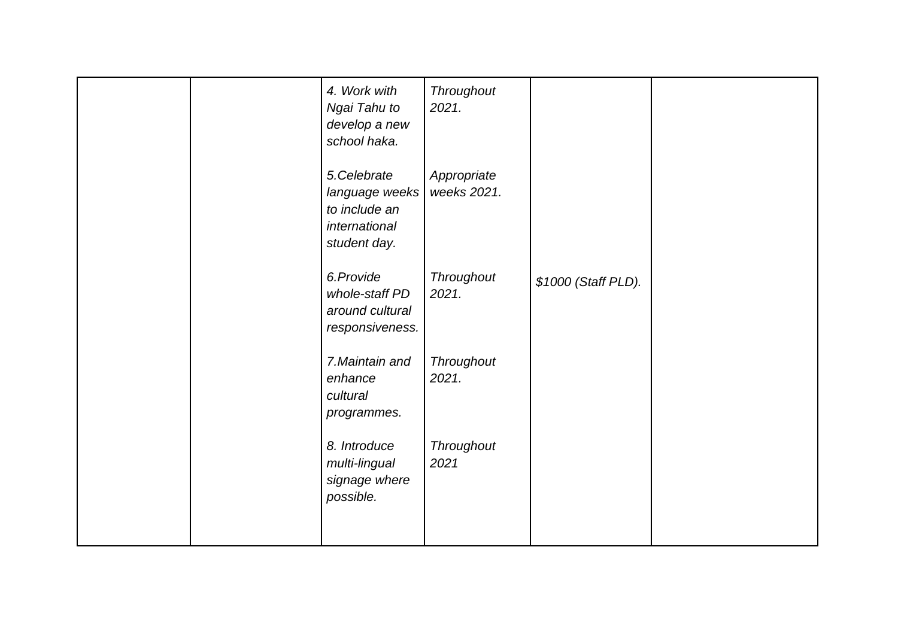|  | 4. Work with<br>Ngai Tahu to<br>develop a new<br>school haka.                   | Throughout<br>2021.        |                     |  |
|--|---------------------------------------------------------------------------------|----------------------------|---------------------|--|
|  | 5.Celebrate<br>language weeks<br>to include an<br>international<br>student day. | Appropriate<br>weeks 2021. |                     |  |
|  | 6.Provide<br>whole-staff PD<br>around cultural<br>responsiveness.               | Throughout<br>2021.        | \$1000 (Staff PLD). |  |
|  | 7. Maintain and<br>enhance<br>cultural<br>programmes.                           | Throughout<br>2021.        |                     |  |
|  | 8. Introduce<br>multi-lingual<br>signage where<br>possible.                     | Throughout<br>2021         |                     |  |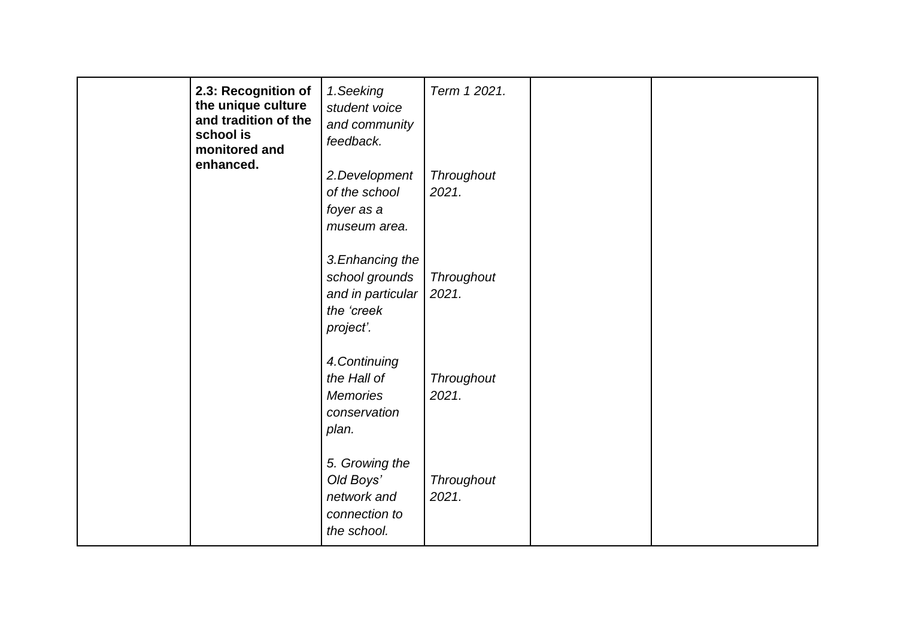| 2.3: Recognition of<br>the unique culture<br>and tradition of the<br>school is<br>monitored and<br>enhanced. | 1.Seeking<br>student voice<br>and community<br>feedback.                           | Term 1 2021.               |  |
|--------------------------------------------------------------------------------------------------------------|------------------------------------------------------------------------------------|----------------------------|--|
|                                                                                                              | 2.Development<br>of the school<br>foyer as a<br>museum area.                       | Throughout<br>2021.        |  |
|                                                                                                              | 3. Enhancing the<br>school grounds<br>and in particular<br>the 'creek<br>project'. | Throughout<br>2021.        |  |
|                                                                                                              | 4. Continuing<br>the Hall of<br><b>Memories</b><br>conservation<br>plan.           | <b>Throughout</b><br>2021. |  |
|                                                                                                              | 5. Growing the<br>Old Boys'<br>network and<br>connection to<br>the school.         | Throughout<br>2021.        |  |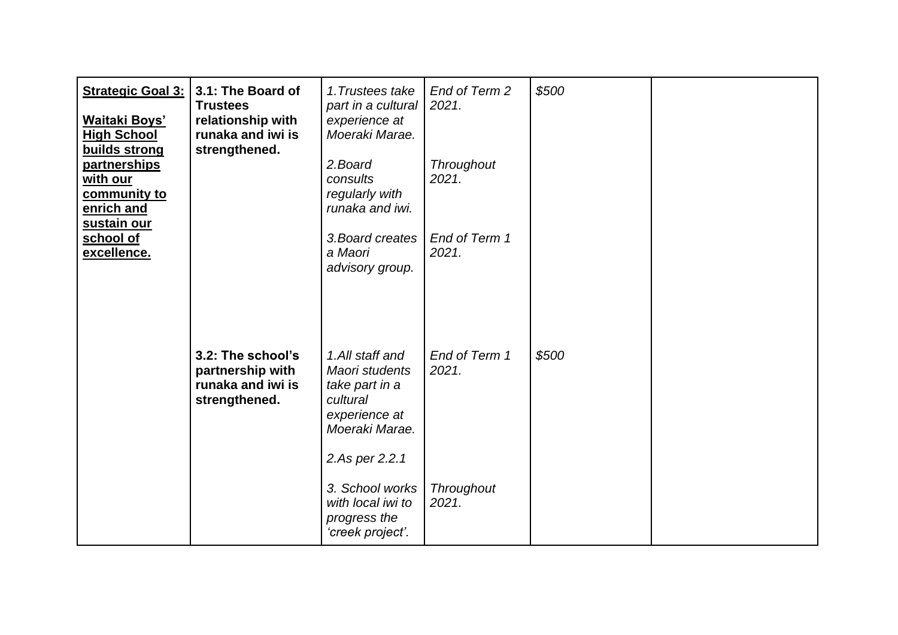| <b>Strategic Goal 3:</b><br><b>Waitaki Boys'</b><br><b>High School</b><br>builds strong<br>partnerships | 3.1: The Board of<br><b>Trustees</b><br>relationship with<br>runaka and iwi is<br>strengthened. | 1. Trustees take<br>part in a cultural<br>experience at<br>Moeraki Marae.<br>2.Board                                 | End of Term 2<br>2021.<br>Throughout | \$500 |  |
|---------------------------------------------------------------------------------------------------------|-------------------------------------------------------------------------------------------------|----------------------------------------------------------------------------------------------------------------------|--------------------------------------|-------|--|
| with our<br>community to<br>enrich and<br>sustain our                                                   |                                                                                                 | consults<br>regularly with<br>runaka and iwi.                                                                        | 2021.                                |       |  |
| school of<br>excellence.                                                                                |                                                                                                 | 3. Board creates<br>a Maori<br>advisory group.                                                                       | End of Term 1<br>2021.               |       |  |
|                                                                                                         | 3.2: The school's<br>partnership with<br>runaka and iwi is<br>strengthened.                     | 1.All staff and<br>Maori students<br>take part in a<br>cultural<br>experience at<br>Moeraki Marae.<br>2.As per 2.2.1 | End of Term 1<br>2021.               | \$500 |  |
|                                                                                                         |                                                                                                 | 3. School works<br>with local iwi to<br>progress the<br>'creek project'.                                             | <b>Throughout</b><br>2021.           |       |  |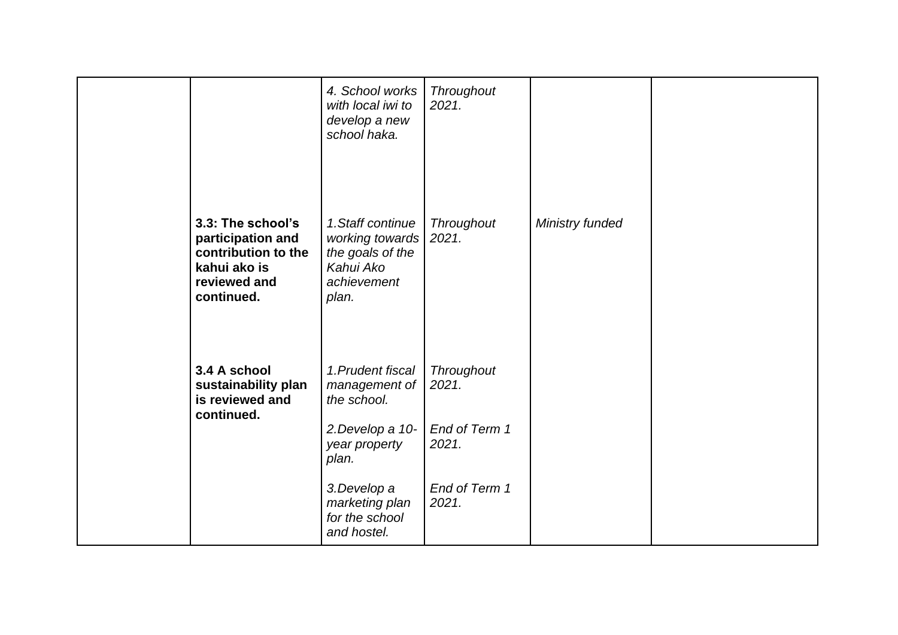|                                                                                                             | 4. School works<br>with local iwi to<br>develop a new<br>school haka.                         | Throughout<br>2021.    |                 |  |
|-------------------------------------------------------------------------------------------------------------|-----------------------------------------------------------------------------------------------|------------------------|-----------------|--|
| 3.3: The school's<br>participation and<br>contribution to the<br>kahui ako is<br>reviewed and<br>continued. | 1. Staff continue<br>working towards<br>the goals of the<br>Kahui Ako<br>achievement<br>plan. | Throughout<br>2021.    | Ministry funded |  |
| 3.4 A school<br>sustainability plan<br>is reviewed and<br>continued.                                        | 1. Prudent fiscal<br>management of<br>the school.                                             | Throughout<br>2021.    |                 |  |
|                                                                                                             | 2. Develop a 10-<br>year property<br>plan.                                                    | End of Term 1<br>2021. |                 |  |
|                                                                                                             | 3.Develop a<br>marketing plan<br>for the school<br>and hostel.                                | End of Term 1<br>2021. |                 |  |